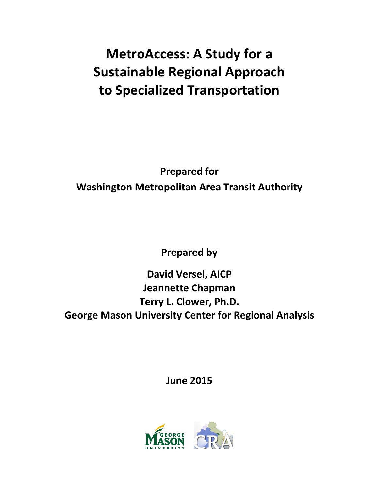# **MetroAccess: A Study for a Sustainable Regional Approach to Specialized Transportation**

**Prepared for Washington Metropolitan Area Transit Authority**

**Prepared by** 

**David Versel, AICP Jeannette Chapman Terry L. Clower, Ph.D. George Mason University Center for Regional Analysis**

**June 2015**

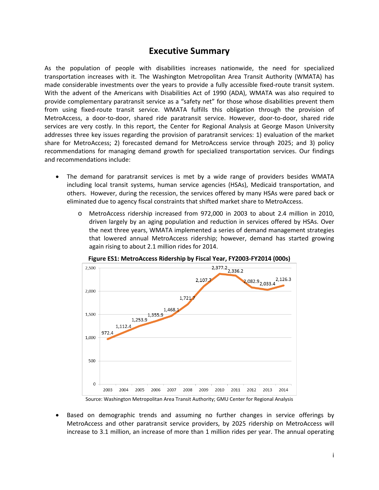### **Executive Summary**

As the population of people with disabilities increases nationwide, the need for specialized transportation increases with it. The Washington Metropolitan Area Transit Authority (WMATA) has made considerable investments over the years to provide a fully accessible fixed-route transit system. With the advent of the Americans with Disabilities Act of 1990 (ADA), WMATA was also required to provide complementary paratransit service as a "safety net" for those whose disabilities prevent them from using fixed-route transit service. WMATA fulfills this obligation through the provision of MetroAccess, a door-to-door, shared ride paratransit service. However, door-to-door, shared ride services are very costly. In this report, the Center for Regional Analysis at George Mason University addresses three key issues regarding the provision of paratransit services: 1) evaluation of the market share for MetroAccess; 2) forecasted demand for MetroAccess service through 2025; and 3) policy recommendations for managing demand growth for specialized transportation services. Our findings and recommendations include:

- The demand for paratransit services is met by a wide range of providers besides WMATA including local transit systems, human service agencies (HSAs), Medicaid transportation, and others. However, during the recession, the services offered by many HSAs were pared back or eliminated due to agency fiscal constraints that shifted market share to MetroAccess.
	- MetroAccess ridership increased from 972,000 in 2003 to about 2.4 million in 2010, driven largely by an aging population and reduction in services offered by HSAs. Over the next three years, WMATA implemented a series of demand management strategies that lowered annual MetroAccess ridership; however, demand has started growing again rising to about 2.1 million rides for 2014.



Source: Washington Metropolitan Area Transit Authority; GMU Center for Regional Analysis

• Based on demographic trends and assuming no further changes in service offerings by MetroAccess and other paratransit service providers, by 2025 ridership on MetroAccess will increase to 3.1 million, an increase of more than 1 million rides per year. The annual operating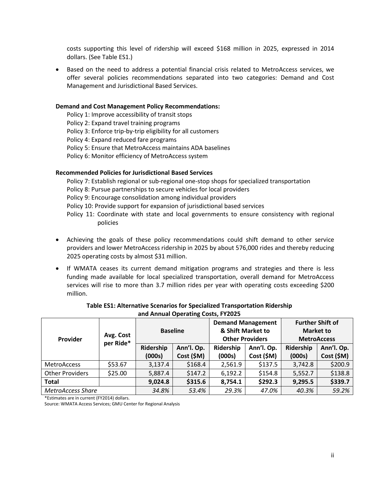costs supporting this level of ridership will exceed \$168 million in 2025, expressed in 2014 dollars. (See Table ES1.)

• Based on the need to address a potential financial crisis related to MetroAccess services, we offer several policies recommendations separated into two categories: Demand and Cost Management and Jurisdictional Based Services.

#### **Demand and Cost Management Policy Recommendations:**

Policy 1: Improve accessibility of transit stops Policy 2: Expand travel training programs Policy 3: Enforce trip-by-trip eligibility for all customers Policy 4: Expand reduced fare programs Policy 5: Ensure that MetroAccess maintains ADA baselines Policy 6: Monitor efficiency of MetroAccess system

#### **Recommended Policies for Jurisdictional Based Services**

Policy 7: Establish regional or sub-regional one-stop shops for specialized transportation Policy 8: Pursue partnerships to secure vehicles for local providers Policy 9: Encourage consolidation among individual providers Policy 10: Provide support for expansion of jurisdictional based services Policy 11: Coordinate with state and local governments to ensure consistency with regional policies

- Achieving the goals of these policy recommendations could shift demand to other service providers and lower MetroAccess ridership in 2025 by about 576,000 rides and thereby reducing 2025 operating costs by almost \$31 million.
- If WMATA ceases its current demand mitigation programs and strategies and there is less funding made available for local specialized transportation, overall demand for MetroAccess services will rise to more than 3.7 million rides per year with operating costs exceeding \$200 million.

| Provider                 | Avg. Cost<br>per Ride* | <b>Baseline</b> |            | <b>Demand Management</b><br>& Shift Market to<br><b>Other Providers</b> |            | <b>Further Shift of</b><br><b>Market to</b><br><b>MetroAccess</b> |            |
|--------------------------|------------------------|-----------------|------------|-------------------------------------------------------------------------|------------|-------------------------------------------------------------------|------------|
|                          |                        | Ridership       | Ann'l. Op. | Ridership                                                               | Ann'l. Op. | Ridership                                                         | Ann'l. Op. |
|                          |                        | (000s)          | Cost (\$M) | (000s)                                                                  | Cost (\$M) | (000s)                                                            | Cost (\$M) |
| <b>MetroAccess</b>       | \$53.67                | 3,137.4         | \$168.4    | 2,561.9                                                                 | \$137.5    | 3,742.8                                                           | \$200.9    |
| <b>Other Providers</b>   | \$25.00                | 5,887.4         | \$147.2    | 6,192.2                                                                 | \$154.8    | 5,552.7                                                           | \$138.8    |
| <b>Total</b>             |                        | 9,024.8         | \$315.6    | 8,754.1                                                                 | \$292.3    | 9,295.5                                                           | \$339.7    |
| <b>MetroAccess Share</b> |                        | 34.8%           | 53.4%      | 29.3%                                                                   | 47.0%      | 40.3%                                                             | 59.2%      |

#### **Table ES1: Alternative Scenarios for Specialized Transportation Ridership and Annual Operating Costs, FY2025**

\*Estimates are in current (FY2014) dollars.

Source: WMATA Access Services; GMU Center for Regional Analysis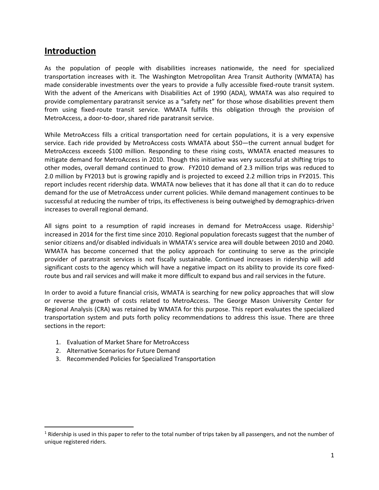### **Introduction**

As the population of people with disabilities increases nationwide, the need for specialized transportation increases with it. The Washington Metropolitan Area Transit Authority (WMATA) has made considerable investments over the years to provide a fully accessible fixed-route transit system. With the advent of the Americans with Disabilities Act of 1990 (ADA), WMATA was also required to provide complementary paratransit service as a "safety net" for those whose disabilities prevent them from using fixed-route transit service. WMATA fulfills this obligation through the provision of MetroAccess, a door-to-door, shared ride paratransit service.

While MetroAccess fills a critical transportation need for certain populations, it is a very expensive service. Each ride provided by MetroAccess costs WMATA about \$50—the current annual budget for MetroAccess exceeds \$100 million. Responding to these rising costs, WMATA enacted measures to mitigate demand for MetroAccess in 2010. Though this initiative was very successful at shifting trips to other modes, overall demand continued to grow. FY2010 demand of 2.3 million trips was reduced to 2.0 million by FY2013 but is growing rapidly and is projected to exceed 2.2 million trips in FY2015. This report includes recent ridership data. WMATA now believes that it has done all that it can do to reduce demand for the use of MetroAccess under current policies. While demand management continues to be successful at reducing the number of trips, its effectiveness is being outweighed by demographics-driven increases to overall regional demand.

All signs point to a resumption of rapid increases in demand for MetroAccess usage. Ridership<sup>[1](#page-3-0)</sup> increased in 2014 for the first time since 2010. Regional population forecasts suggest that the number of senior citizens and/or disabled individuals in WMATA's service area will double between 2010 and 2040. WMATA has become concerned that the policy approach for continuing to serve as the principle provider of paratransit services is not fiscally sustainable. Continued increases in ridership will add significant costs to the agency which will have a negative impact on its ability to provide its core fixedroute bus and rail services and will make it more difficult to expand bus and rail services in the future.

In order to avoid a future financial crisis, WMATA is searching for new policy approaches that will slow or reverse the growth of costs related to MetroAccess. The George Mason University Center for Regional Analysis (CRA) was retained by WMATA for this purpose. This report evaluates the specialized transportation system and puts forth policy recommendations to address this issue. There are three sections in the report:

- 1. Evaluation of Market Share for MetroAccess
- 2. Alternative Scenarios for Future Demand

 $\overline{\phantom{a}}$ 

3. Recommended Policies for Specialized Transportation

<span id="page-3-0"></span> $1$  Ridership is used in this paper to refer to the total number of trips taken by all passengers, and not the number of unique registered riders.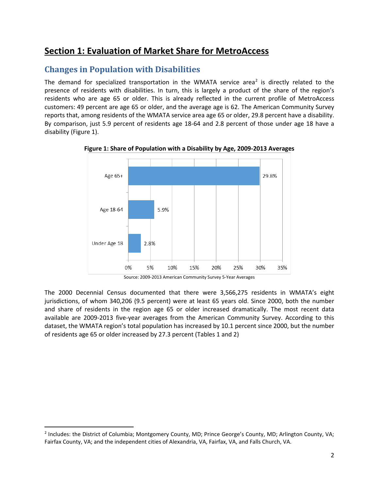# **Section 1: Evaluation of Market Share for MetroAccess**

### **Changes in Population with Disabilities**

The demand for specialized transportation in the WMATA service area<sup>[2](#page-4-0)</sup> is directly related to the presence of residents with disabilities. In turn, this is largely a product of the share of the region's residents who are age 65 or older. This is already reflected in the current profile of MetroAccess customers: 49 percent are age 65 or older, and the average age is 62. The American Community Survey reports that, among residents of the WMATA service area age 65 or older, 29.8 percent have a disability. By comparison, just 5.9 percent of residents age 18-64 and 2.8 percent of those under age 18 have a disability (Figure 1).



**Figure 1: Share of Population with a Disability by Age, 2009-2013 Averages**

The 2000 Decennial Census documented that there were 3,566,275 residents in WMATA's eight jurisdictions, of whom 340,206 (9.5 percent) were at least 65 years old. Since 2000, both the number and share of residents in the region age 65 or older increased dramatically. The most recent data available are 2009-2013 five-year averages from the American Community Survey. According to this dataset, the WMATA region's total population has increased by 10.1 percent since 2000, but the number of residents age 65 or older increased by 27.3 percent (Tables 1 and 2)

 $\overline{\phantom{a}}$ 

Source: 2009-2013 American Community Survey 5-Year Averages

<span id="page-4-0"></span><sup>2</sup> Includes: the District of Columbia; Montgomery County, MD; Prince George's County, MD; Arlington County, VA; Fairfax County, VA; and the independent cities of Alexandria, VA, Fairfax, VA, and Falls Church, VA.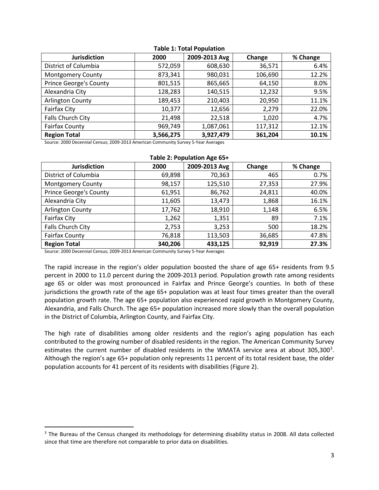| <b>Jurisdiction</b>           | 2000      | 2009-2013 Avg | Change  | % Change |
|-------------------------------|-----------|---------------|---------|----------|
| District of Columbia          | 572,059   | 608,630       | 36,571  | 6.4%     |
| <b>Montgomery County</b>      | 873,341   | 980,031       | 106,690 | 12.2%    |
| <b>Prince George's County</b> | 801,515   | 865,665       | 64,150  | 8.0%     |
| Alexandria City               | 128,283   | 140,515       | 12,232  | 9.5%     |
| <b>Arlington County</b>       | 189,453   | 210,403       | 20,950  | 11.1%    |
| <b>Fairfax City</b>           | 10,377    | 12,656        | 2,279   | 22.0%    |
| Falls Church City             | 21,498    | 22,518        | 1,020   | 4.7%     |
| <b>Fairfax County</b>         | 969,749   | 1,087,061     | 117,312 | 12.1%    |
| <b>Region Total</b>           | 3,566,275 | 3,927,479     | 361,204 | 10.1%    |

#### **Table 1: Total Population**

Source: 2000 Decennial Census; 2009-2013 American Community Survey 5-Year Averages

| Table 2: Population Age 65+   |         |               |        |          |  |  |  |
|-------------------------------|---------|---------------|--------|----------|--|--|--|
| <b>Jurisdiction</b>           | 2000    | 2009-2013 Avg | Change | % Change |  |  |  |
| District of Columbia          | 69,898  | 70,363        | 465    | 0.7%     |  |  |  |
| <b>Montgomery County</b>      | 98,157  | 125,510       | 27,353 | 27.9%    |  |  |  |
| <b>Prince George's County</b> | 61,951  | 86,762        | 24,811 | 40.0%    |  |  |  |
| Alexandria City               | 11,605  | 13,473        | 1,868  | 16.1%    |  |  |  |
| <b>Arlington County</b>       | 17,762  | 18,910        | 1,148  | 6.5%     |  |  |  |
| Fairfax City                  | 1,262   | 1,351         | 89     | 7.1%     |  |  |  |
| Falls Church City             | 2,753   | 3,253         | 500    | 18.2%    |  |  |  |
| <b>Fairfax County</b>         | 76,818  | 113,503       | 36,685 | 47.8%    |  |  |  |
| <b>Region Total</b>           | 340,206 | 433,125       | 92,919 | 27.3%    |  |  |  |

Source: 2000 Decennial Census; 2009-2013 American Community Survey 5-Year Averages

 $\overline{\phantom{a}}$ 

The rapid increase in the region's older population boosted the share of age 65+ residents from 9.5 percent in 2000 to 11.0 percent during the 2009-2013 period. Population growth rate among residents age 65 or older was most pronounced in Fairfax and Prince George's counties. In both of these jurisdictions the growth rate of the age 65+ population was at least four times greater than the overall population growth rate. The age 65+ population also experienced rapid growth in Montgomery County, Alexandria, and Falls Church. The age 65+ population increased more slowly than the overall population in the District of Columbia, Arlington County, and Fairfax City.

The high rate of disabilities among older residents and the region's aging population has each contributed to the growing number of disabled residents in the region. The American Community Survey estimates the current number of disabled residents in the WMATA service area at about [3](#page-5-0)05,300<sup>3</sup>. Although the region's age 65+ population only represents 11 percent of its total resident base, the older population accounts for 41 percent of its residents with disabilities (Figure 2).

<span id="page-5-0"></span><sup>&</sup>lt;sup>3</sup> The Bureau of the Census changed its methodology for determining disability status in 2008. All data collected since that time are therefore not comparable to prior data on disabilities.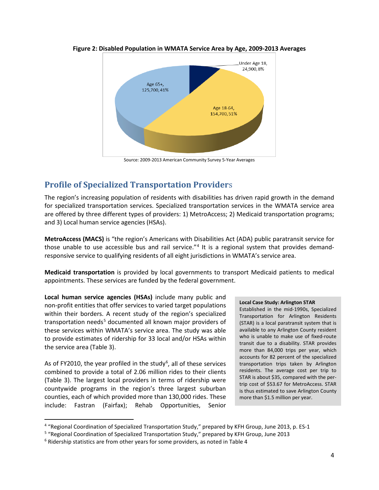

**Figure 2: Disabled Population in WMATA Service Area by Age, 2009-2013 Averages**

Source: 2009-2013 American Community Survey 5-Year Averages

### **Profile of Specialized Transportation Provider**s

The region's increasing population of residents with disabilities has driven rapid growth in the demand for specialized transportation services. Specialized transportation services in the WMATA service area are offered by three different types of providers: 1) MetroAccess; 2) Medicaid transportation programs; and 3) Local human service agencies (HSAs).

**MetroAccess (MACS)** is "the region's Americans with Disabilities Act (ADA) public paratransit service for those unable to use accessible bus and rail service."[4](#page-6-0) It is a regional system that provides demandresponsive service to qualifying residents of all eight jurisdictions in WMATA's service area.

**Medicaid transportation** is provided by local governments to transport Medicaid patients to medical appointments. These services are funded by the federal government.

**Local human service agencies (HSAs)** include many public and non-profit entities that offer services to varied target populations within their borders. A recent study of the region's specialized transportation needs<sup>[5](#page-6-1)</sup> documented all known major providers of these services within WMATA's service area. The study was able to provide estimates of ridership for 33 local and/or HSAs within the service area (Table 3).

As of FY2010, the year profiled in the study<sup>[6](#page-6-2)</sup>, all of these services combined to provide a total of 2.06 million rides to their clients (Table 3). The largest local providers in terms of ridership were countywide programs in the region's three largest suburban counties, each of which provided more than 130,000 rides. These include: Fastran (Fairfax); Rehab Opportunities, Senior

l

#### **Local Case Study: Arlington STAR**

Established in the mid-1990s, Specialized Transportation for Arlington Residents (STAR) is a local paratransit system that is available to any Arlington County resident who is unable to make use of fixed-route transit due to a disability. STAR provides more than 84,000 trips per year, which accounts for 82 percent of the specialized transportation trips taken by Arlington residents. The average cost per trip to STAR is about \$35, compared with the pertrip cost of \$53.67 for MetroAccess. STAR is thus estimated to save Arlington County more than \$1.5 million per year.

<span id="page-6-0"></span><sup>4</sup> "Regional Coordination of Specialized Transportation Study," prepared by KFH Group, June 2013, p. ES-1

<span id="page-6-1"></span><sup>5</sup> "Regional Coordination of Specialized Transportation Study," prepared by KFH Group, June 2013

<span id="page-6-2"></span> $6$  Ridership statistics are from other years for some providers, as noted in Table 4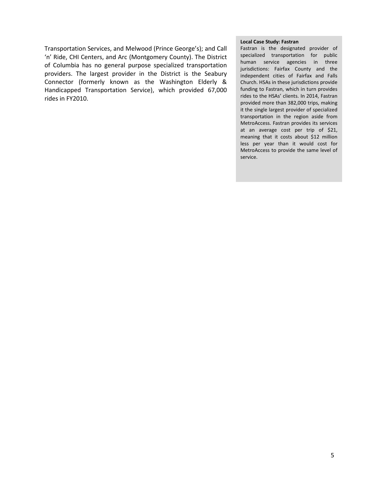Transportation Services, and Melwood (Prince George's); and Call 'n' Ride, CHI Centers, and Arc (Montgomery County). The District of Columbia has no general purpose specialized transportation providers. The largest provider in the District is the Seabury Connector (formerly known as the Washington Elderly & Handicapped Transportation Service), which provided 67,000 rides in FY2010.

#### **Local Case Study: Fastran**

Fastran is the designated provider of specialized transportation for public human service agencies in three jurisdictions: Fairfax County and the independent cities of Fairfax and Falls Church. HSAs in these jurisdictions provide funding to Fastran, which in turn provides rides to the HSAs' clients. In 2014, Fastran provided more than 382,000 trips, making it the single largest provider of specialized transportation in the region aside from MetroAccess. Fastran provides its services at an average cost per trip of \$21, meaning that it costs about \$12 million less per year than it would cost for MetroAccess to provide the same level of service.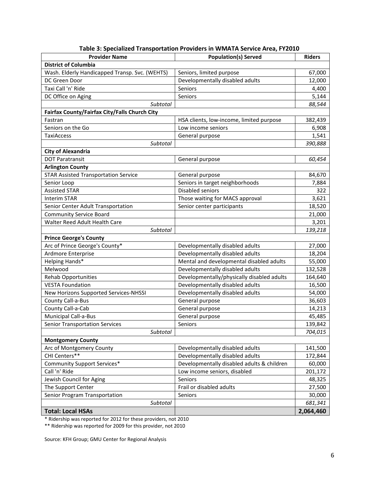| <b>Provider Name</b>                           | <b>Population(s) Served</b>                | <b>Riders</b> |
|------------------------------------------------|--------------------------------------------|---------------|
| <b>District of Columbia</b>                    |                                            |               |
| Wash. Elderly Handicapped Transp. Svc. (WEHTS) | Seniors, limited purpose                   | 67,000        |
| DC Green Door                                  | Developmentally disabled adults            | 12,000        |
| Taxi Call 'n' Ride                             | Seniors                                    | 4,400         |
| DC Office on Aging                             | Seniors                                    | 5,144         |
| Subtotal                                       |                                            | 88,544        |
| Fairfax County/Fairfax City/Falls Church City  |                                            |               |
| Fastran                                        | HSA clients, low-income, limited purpose   | 382,439       |
| Seniors on the Go                              | Low income seniors                         | 6,908         |
| <b>TaxiAccess</b>                              | General purpose                            | 1,541         |
| Subtotal                                       |                                            | 390,888       |
| <b>City of Alexandria</b>                      |                                            |               |
| <b>DOT Paratransit</b>                         | General purpose                            | 60,454        |
| <b>Arlington County</b>                        |                                            |               |
| <b>STAR Assisted Transportation Service</b>    | General purpose                            | 84,670        |
| Senior Loop                                    | Seniors in target neighborhoods            | 7,884         |
| <b>Assisted STAR</b>                           | Disabled seniors                           | 322           |
| <b>Interim STAR</b>                            | Those waiting for MACS approval            | 3,621         |
| Senior Center Adult Transportation             | Senior center participants                 | 18,520        |
| <b>Community Service Board</b>                 |                                            | 21,000        |
| Walter Reed Adult Health Care                  |                                            | 3,201         |
| Subtotal                                       |                                            | 139,218       |
| <b>Prince George's County</b>                  |                                            |               |
| Arc of Prince George's County*                 | Developmentally disabled adults            | 27,000        |
| Ardmore Enterprise                             | Developmentally disabled adults            | 18,204        |
| Helping Hands*                                 | Mental and developmental disabled adults   | 55,000        |
| Melwood                                        | Developmentally disabled adults            | 132,528       |
| <b>Rehab Opportunities</b>                     | Developmentally/physically disabled adults | 164,640       |
| <b>VESTA Foundation</b>                        | Developmentally disabled adults            | 16,500        |
| New Horizons Supported Services-NHSSI          | Developmentally disabled adults            | 54,000        |
| County Call-a-Bus                              | General purpose                            | 36,603        |
| County Call-a-Cab                              | General purpose                            | 14,213        |
| Municipal Call-a-Bus                           | General purpose                            | 45,485        |
| <b>Senior Transportation Services</b>          | Seniors                                    | 139,842       |
| Subtotal                                       |                                            | 704,015       |
| <b>Montgomery County</b>                       |                                            |               |
| Arc of Montgomery County                       | Developmentally disabled adults            | 141,500       |
| CHI Centers**                                  | Developmentally disabled adults            | 172,844       |
| Community Support Services*                    | Developmentally disabled adults & children | 60,000        |
| Call 'n' Ride                                  | Low income seniors, disabled               | 201,172       |
| Jewish Council for Aging                       | Seniors                                    | 48,325        |
| The Support Center                             | Frail or disabled adults                   | 27,500        |
| Senior Program Transportation                  | Seniors                                    | 30,000        |
| Subtotal                                       |                                            | 681,341       |
| <b>Total: Local HSAs</b>                       |                                            | 2,064,460     |

\* Ridership was reported for 2012 for these providers, not 2010

\*\* Ridership was reported for 2009 for this provider, not 2010

Source: KFH Group; GMU Center for Regional Analysis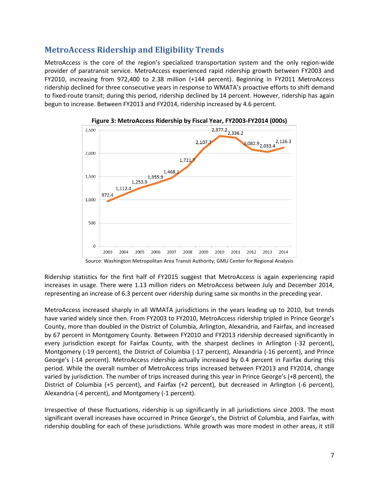### **MetroAccess Ridership and Eligibility Trends**

MetroAccess is the core of the region's specialized transportation system and the only region-wide provider of paratransit service. MetroAccess experienced rapid ridership growth between FY2003 and FY2010, increasing from 972,400 to 2.38 million (+144 percent). Beginning in FY2011 MetroAccess ridership declined for three consecutive years in response to WMATA's proactive efforts to shift demand to fixed-route transit; during this period, ridership declined by 14 percent. However, ridership has again begun to increase. Between FY2013 and FY2014, ridership increased by 4.6 percent.





Source: Washington Metropolitan Area Transit Authority; GMU Center for Regional Analysis

Ridership statistics for the first half of FY2015 suggest that MetroAccess is again experiencing rapid increases in usage. There were 1.13 million riders on MetroAccess between July and December 2014, representing an increase of 6.3 percent over ridership during same six months in the preceding year.

MetroAccess increased sharply in all WMATA jurisdictions in the years leading up to 2010, but trends have varied widely since then. From FY2003 to FY2010, MetroAccess ridership tripled in Prince George's County, more than doubled in the District of Columbia, Arlington, Alexandria, and Fairfax, and increased by 67 percent in Montgomery County. Between FY2010 and FY2013 ridership decreased significantly in every jurisdiction except for Fairfax County, with the sharpest declines in Arlington (-32 percent), Montgomery (-19 percent), the District of Columbia (-17 percent), Alexandria (-16 percent), and Prince George's (-14 percent). MetroAccess ridership actually increased by 0.4 percent in Fairfax during this period. While the overall number of MetroAccess trips increased between FY2013 and FY2014, change varied by jurisdiction. The number of trips increased during this year in Prince George's (+8 percent), the District of Columbia (+5 percent), and Fairfax (+2 percent), but decreased in Arlington (-6 percent), Alexandria (-4 percent), and Montgomery (-1 percent).

Irrespective of these fluctuations, ridership is up significantly in all jurisdictions since 2003. The most significant overall increases have occurred in Prince George's, the District of Columbia, and Fairfax, with ridership doubling for each of these jurisdictions. While growth was more modest in other areas, it still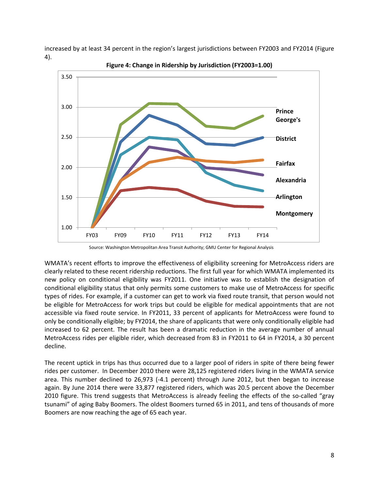increased by at least 34 percent in the region's largest jurisdictions between FY2003 and FY2014 (Figure 4).



**Figure 4: Change in Ridership by Jurisdiction (FY2003=1.00)**

Source: Washington Metropolitan Area Transit Authority; GMU Center for Regional Analysis

WMATA's recent efforts to improve the effectiveness of eligibility screening for MetroAccess riders are clearly related to these recent ridership reductions. The first full year for which WMATA implemented its new policy on conditional eligibility was FY2011. One initiative was to establish the designation of conditional eligibility status that only permits some customers to make use of MetroAccess for specific types of rides. For example, if a customer can get to work via fixed route transit, that person would not be eligible for MetroAccess for work trips but could be eligible for medical appointments that are not accessible via fixed route service. In FY2011, 33 percent of applicants for MetroAccess were found to only be conditionally eligible; by FY2014, the share of applicants that were only conditionally eligible had increased to 62 percent. The result has been a dramatic reduction in the average number of annual MetroAccess rides per eligible rider, which decreased from 83 in FY2011 to 64 in FY2014, a 30 percent decline.

The recent uptick in trips has thus occurred due to a larger pool of riders in spite of there being fewer rides per customer. In December 2010 there were 28,125 registered riders living in the WMATA service area. This number declined to 26,973 (-4.1 percent) through June 2012, but then began to increase again. By June 2014 there were 33,877 registered riders, which was 20.5 percent above the December 2010 figure. This trend suggests that MetroAccess is already feeling the effects of the so-called "gray tsunami" of aging Baby Boomers. The oldest Boomers turned 65 in 2011, and tens of thousands of more Boomers are now reaching the age of 65 each year.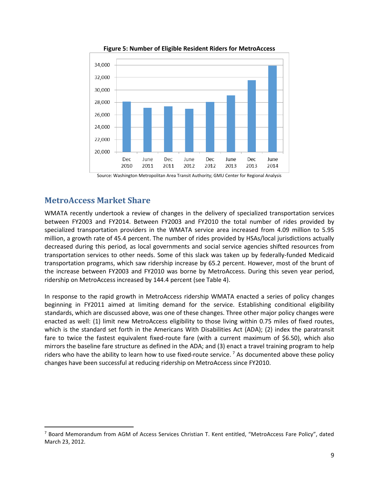

**Figure 5: Number of Eligible Resident Riders for MetroAccess**

### **MetroAccess Market Share**

 $\overline{\phantom{a}}$ 

WMATA recently undertook a review of changes in the delivery of specialized transportation services between FY2003 and FY2014. Between FY2003 and FY2010 the total number of rides provided by specialized transportation providers in the WMATA service area increased from 4.09 million to 5.95 million, a growth rate of 45.4 percent. The number of rides provided by HSAs/local jurisdictions actually decreased during this period, as local governments and social service agencies shifted resources from transportation services to other needs. Some of this slack was taken up by federally-funded Medicaid transportation programs, which saw ridership increase by 65.2 percent. However, most of the brunt of the increase between FY2003 and FY2010 was borne by MetroAccess. During this seven year period, ridership on MetroAccess increased by 144.4 percent (see Table 4).

In response to the rapid growth in MetroAccess ridership WMATA enacted a series of policy changes beginning in FY2011 aimed at limiting demand for the service. Establishing conditional eligibility standards, which are discussed above, was one of these changes. Three other major policy changes were enacted as well: (1) limit new MetroAccess eligibility to those living within 0.75 miles of fixed routes, which is the standard set forth in the Americans With Disabilities Act (ADA); (2) index the paratransit fare to twice the fastest equivalent fixed-route fare (with a current maximum of \$6.50), which also mirrors the baseline fare structure as defined in the ADA; and (3) enact a travel training program to help riders who have the ability to learn how to use fixed-route service.  $^7$  $^7$  As documented above these policy changes have been successful at reducing ridership on MetroAccess since FY2010.

Source: Washington Metropolitan Area Transit Authority; GMU Center for Regional Analysis

<span id="page-11-0"></span><sup>7</sup> Board Memorandum from AGM of Access Services Christian T. Kent entitled, "MetroAccess Fare Policy", dated March 23, 2012.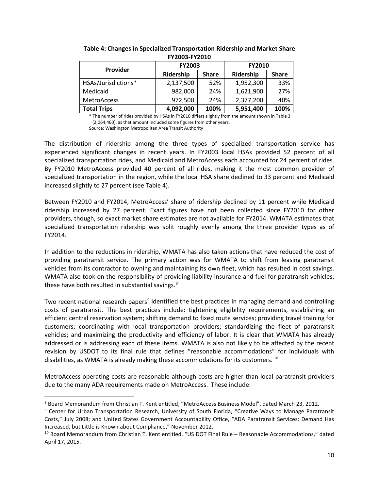| Provider            | <b>FY2003</b> |              | <b>FY2010</b> |              |  |  |
|---------------------|---------------|--------------|---------------|--------------|--|--|
|                     | Ridership     | <b>Share</b> | Ridership     | <b>Share</b> |  |  |
| HSAs/Jurisdictions* | 2,137,500     | 52%          | 1,952,300     | 33%          |  |  |
| Medicaid            | 982,000       | 24%          | 1,621,900     | 27%          |  |  |
| <b>MetroAccess</b>  | 972,500       | 24%          | 2,377,200     | 40%          |  |  |
| <b>Total Trips</b>  | 4,092,000     | 100%         | 5,951,400     | 100%         |  |  |

**Table 4: Changes in Specialized Transportation Ridership and Market Share FY2003-FY2010**

\* The number of rides provided by HSAs in FY2010 differs slightly from the amount shown in Table 3 (2,064,460), as that amount included some figures from other years.

Source: Washington Metropolitan Area Transit Authority

The distribution of ridership among the three types of specialized transportation service has experienced significant changes in recent years. In FY2003 local HSAs provided 52 percent of all specialized transportation rides, and Medicaid and MetroAccess each accounted for 24 percent of rides. By FY2010 MetroAccess provided 40 percent of all rides, making it the most common provider of specialized transportation in the region, while the local HSA share declined to 33 percent and Medicaid increased slightly to 27 percent (see Table 4).

Between FY2010 and FY2014, MetroAccess' share of ridership declined by 11 percent while Medicaid ridership increased by 27 percent. Exact figures have not been collected since FY2010 for other providers, though, so exact market share estimates are not available for FY2014. WMATA estimates that specialized transportation ridership was split roughly evenly among the three provider types as of FY2014.

In addition to the reductions in ridership, WMATA has also taken actions that have reduced the cost of providing paratransit service. The primary action was for WMATA to shift from leasing paratransit vehicles from its contractor to owning and maintaining its own fleet, which has resulted in cost savings. WMATA also took on the responsibility of providing liability insurance and fuel for paratransit vehicles; these have both resulted in substantial savings.<sup>[8](#page-12-0)</sup>

Two recent national research papers<sup>[9](#page-12-1)</sup> identified the best practices in managing demand and controlling costs of paratransit. The best practices include: tightening eligibility requirements, establishing an efficient central reservation system; shifting demand to fixed route services; providing travel training for customers; coordinating with local transportation providers; standardizing the fleet of paratransit vehicles; and maximizing the productivity and efficiency of labor. It is clear that WMATA has already addressed or is addressing each of these items. WMATA is also not likely to be affected by the recent revision by USDOT to its final rule that defines "reasonable accommodations" for individuals with disabilities, as WMATA is already making these accommodations for its customers. [10](#page-12-2)

MetroAccess operating costs are reasonable although costs are higher than local paratransit providers due to the many ADA requirements made on MetroAccess. These include:

 $\overline{\phantom{a}}$ 

<span id="page-12-0"></span><sup>8</sup> Board Memorandum from Christian T. Kent entitled, "MetroAccess Business Model", dated March 23, 2012.

<span id="page-12-1"></span><sup>9</sup> Center for Urban Transportation Research, University of South Florida, "Creative Ways to Manage Paratransit Costs," July 2008; and United States Government Accountability Office, "ADA Paratransit Services: Demand Has Increased, but Little is Known about Compliance," November 2012.

<span id="page-12-2"></span><sup>10</sup> Board Memorandum from Christian T. Kent entitled, "US DOT Final Rule – Reasonable Accommodations," dated April 17, 2015.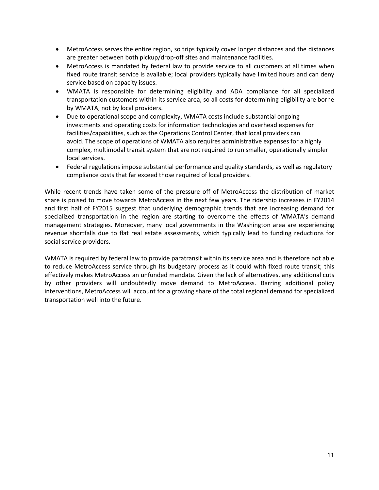- MetroAccess serves the entire region, so trips typically cover longer distances and the distances are greater between both pickup/drop-off sites and maintenance facilities.
- MetroAccess is mandated by federal law to provide service to all customers at all times when fixed route transit service is available; local providers typically have limited hours and can deny service based on capacity issues.
- WMATA is responsible for determining eligibility and ADA compliance for all specialized transportation customers within its service area, so all costs for determining eligibility are borne by WMATA, not by local providers.
- Due to operational scope and complexity, WMATA costs include substantial ongoing investments and operating costs for information technologies and overhead expenses for facilities/capabilities, such as the Operations Control Center, that local providers can avoid. The scope of operations of WMATA also requires administrative expenses for a highly complex, multimodal transit system that are not required to run smaller, operationally simpler local services.
- Federal regulations impose substantial performance and quality standards, as well as regulatory compliance costs that far exceed those required of local providers.

While recent trends have taken some of the pressure off of MetroAccess the distribution of market share is poised to move towards MetroAccess in the next few years. The ridership increases in FY2014 and first half of FY2015 suggest that underlying demographic trends that are increasing demand for specialized transportation in the region are starting to overcome the effects of WMATA's demand management strategies. Moreover, many local governments in the Washington area are experiencing revenue shortfalls due to flat real estate assessments, which typically lead to funding reductions for social service providers.

WMATA is required by federal law to provide paratransit within its service area and is therefore not able to reduce MetroAccess service through its budgetary process as it could with fixed route transit; this effectively makes MetroAccess an unfunded mandate. Given the lack of alternatives, any additional cuts by other providers will undoubtedly move demand to MetroAccess. Barring additional policy interventions, MetroAccess will account for a growing share of the total regional demand for specialized transportation well into the future.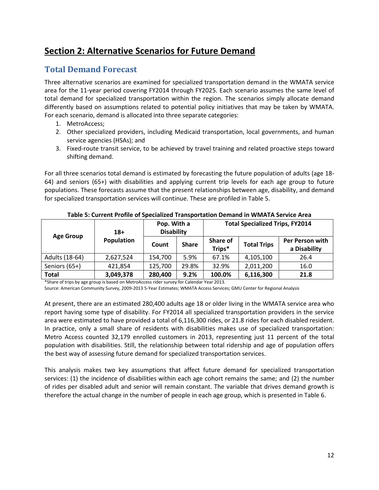# **Section 2: Alternative Scenarios for Future Demand**

### **Total Demand Forecast**

Three alternative scenarios are examined for specialized transportation demand in the WMATA service area for the 11-year period covering FY2014 through FY2025. Each scenario assumes the same level of total demand for specialized transportation within the region. The scenarios simply allocate demand differently based on assumptions related to potential policy initiatives that may be taken by WMATA. For each scenario, demand is allocated into three separate categories:

- 1. MetroAccess;
- 2. Other specialized providers, including Medicaid transportation, local governments, and human service agencies (HSAs); and
- 3. Fixed-route transit service, to be achieved by travel training and related proactive steps toward shifting demand.

For all three scenarios total demand is estimated by forecasting the future population of adults (age 18- 64) and seniors (65+) with disabilities and applying current trip levels for each age group to future populations. These forecasts assume that the present relationships between age, disability, and demand for specialized transportation services will continue. These are profiled in Table 5.

|                  | $18+$             | Pop. With a<br><b>Disability</b> |              |                    |                    | <b>Total Specialized Trips, FY2014</b> |  |  |
|------------------|-------------------|----------------------------------|--------------|--------------------|--------------------|----------------------------------------|--|--|
| <b>Age Group</b> | <b>Population</b> | Count                            | <b>Share</b> | Share of<br>Trips* | <b>Total Trips</b> | Per Person with<br>a Disability        |  |  |
| Adults (18-64)   | 2,627,524         | 154,700                          | 5.9%         | 67.1%              | 4,105,100          | 26.4                                   |  |  |
| Seniors (65+)    | 421,854           | 125,700                          | 29.8%        | 32.9%              | 2,011,200          | 16.0                                   |  |  |
| <b>Total</b>     | 3,049,378         | 280,400                          | 9.2%         | 100.0%             | 6,116,300          | 21.8                                   |  |  |

**Table 5: Current Profile of Specialized Transportation Demand in WMATA Service Area**

\*Share of trips by age group is based on MetroAccess rider survey for Calendar Year 2013.

Source: American Community Survey, 2009-2013 5-Year Estimates; WMATA Access Services; GMU Center for Regional Analysis

At present, there are an estimated 280,400 adults age 18 or older living in the WMATA service area who report having some type of disability. For FY2014 all specialized transportation providers in the service area were estimated to have provided a total of 6,116,300 rides, or 21.8 rides for each disabled resident. In practice, only a small share of residents with disabilities makes use of specialized transportation: Metro Access counted 32,179 enrolled customers in 2013, representing just 11 percent of the total population with disabilities. Still, the relationship between total ridership and age of population offers the best way of assessing future demand for specialized transportation services.

This analysis makes two key assumptions that affect future demand for specialized transportation services: (1) the incidence of disabilities within each age cohort remains the same; and (2) the number of rides per disabled adult and senior will remain constant. The variable that drives demand growth is therefore the actual change in the number of people in each age group, which is presented in Table 6.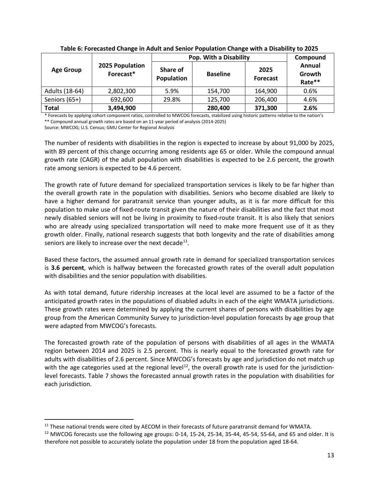|                  |                              | Pop. With a Disability | Compound        |                         |                            |
|------------------|------------------------------|------------------------|-----------------|-------------------------|----------------------------|
| <b>Age Group</b> | 2025 Population<br>Forecast* | Share of<br>Population | <b>Baseline</b> | 2025<br><b>Forecast</b> | Annual<br>Growth<br>Rate** |
| Adults (18-64)   | 2,802,300                    | 5.9%                   | 154,700         | 164,900                 | 0.6%                       |
| Seniors (65+)    | 692,600                      | 29.8%                  | 125,700         | 206,400                 | 4.6%                       |
| <b>Total</b>     | 3,494,900                    |                        | 280,400         | 371,300                 | 2.6%                       |

**Table 6: Forecasted Change in Adult and Senior Population Change with a Disability to 2025**

\* Forecasts by applying cohort component ratios, controlled to MWCOG forecasts, stabilized using historic patterns relative to the nation's \*\* Compound annual growth rates are based on an 11-year period of analysis (2014-2025)

Source: MWCOG; U.S. Census; GMU Center for Regional Analysis

The number of residents with disabilities in the region is expected to increase by about 91,000 by 2025, with 89 percent of this change occurring among residents age 65 or older. While the compound annual growth rate (CAGR) of the adult population with disabilities is expected to be 2.6 percent, the growth rate among seniors is expected to be 4.6 percent.

The growth rate of future demand for specialized transportation services is likely to be far higher than the overall growth rate in the population with disabilities. Seniors who become disabled are likely to have a higher demand for paratransit service than younger adults, as it is far more difficult for this population to make use of fixed-route transit given the nature of their disabilities and the fact that most newly disabled seniors will not be living in proximity to fixed-route transit. It is also likely that seniors who are already using specialized transportation will need to make more frequent use of it as they growth older. Finally, national research suggests that both longevity and the rate of disabilities among seniors are likely to increase over the next decade<sup>11</sup>.

Based these factors, the assumed annual growth rate in demand for specialized transportation services is **3.6 percent**, which is halfway between the forecasted growth rates of the overall adult population with disabilities and the senior population with disabilities.

As with total demand, future ridership increases at the local level are assumed to be a factor of the anticipated growth rates in the populations of disabled adults in each of the eight WMATA jurisdictions. These growth rates were determined by applying the current shares of persons with disabilities by age group from the American Community Survey to jurisdiction-level population forecasts by age group that were adapted from MWCOG's forecasts.

The forecasted growth rate of the population of persons with disabilities of all ages in the WMATA region between 2014 and 2025 is 2.5 percent. This is nearly equal to the forecasted growth rate for adults with disabilities of 2.6 percent. Since MWCOG's forecasts by age and jurisdiction do not match up with the age categories used at the regional level<sup>12</sup>, the overall growth rate is used for the jurisdictionlevel forecasts. Table 7 shows the forecasted annual growth rates in the population with disabilities for each jurisdiction.

<span id="page-15-0"></span><sup>&</sup>lt;sup>11</sup> These national trends were cited by AECOM in their forecasts of future paratransit demand for WMATA. l

<span id="page-15-1"></span> $12$  MWCOG forecasts use the following age groups: 0-14, 15-24, 25-34, 35-44, 45-54, 55-64, and 65 and older. It is therefore not possible to accurately isolate the population under 18 from the population aged 18-64.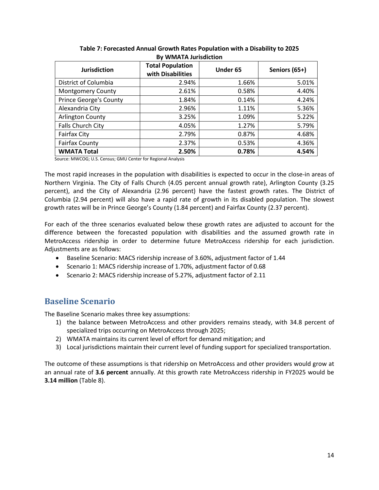| <b>Jurisdiction</b>           | <b>Total Population</b><br>with Disabilities | Under 65 | Seniors (65+) |
|-------------------------------|----------------------------------------------|----------|---------------|
| District of Columbia          | 2.94%                                        | 1.66%    | 5.01%         |
| <b>Montgomery County</b>      | 2.61%                                        | 0.58%    | 4.40%         |
| <b>Prince George's County</b> | 1.84%                                        | 0.14%    | 4.24%         |
| Alexandria City               | 2.96%                                        | 1.11%    | 5.36%         |
| <b>Arlington County</b>       | 3.25%                                        | 1.09%    | 5.22%         |
| Falls Church City             | 4.05%                                        | 1.27%    | 5.79%         |
| <b>Fairfax City</b>           | 2.79%                                        | 0.87%    | 4.68%         |
| <b>Fairfax County</b>         | 2.37%                                        | 0.53%    | 4.36%         |
| <b>WMATA Total</b>            | 2.50%                                        | 0.78%    | 4.54%         |

**Table 7: Forecasted Annual Growth Rates Population with a Disability to 2025 By WMATA Jurisdiction**

Source: MWCOG; U.S. Census; GMU Center for Regional Analysis

The most rapid increases in the population with disabilities is expected to occur in the close-in areas of Northern Virginia. The City of Falls Church (4.05 percent annual growth rate), Arlington County (3.25 percent), and the City of Alexandria (2.96 percent) have the fastest growth rates. The District of Columbia (2.94 percent) will also have a rapid rate of growth in its disabled population. The slowest growth rates will be in Prince George's County (1.84 percent) and Fairfax County (2.37 percent).

For each of the three scenarios evaluated below these growth rates are adjusted to account for the difference between the forecasted population with disabilities and the assumed growth rate in MetroAccess ridership in order to determine future MetroAccess ridership for each jurisdiction. Adjustments are as follows:

- Baseline Scenario: MACS ridership increase of 3.60%, adjustment factor of 1.44
- Scenario 1: MACS ridership increase of 1.70%, adjustment factor of 0.68
- Scenario 2: MACS ridership increase of 5.27%, adjustment factor of 2.11

### **Baseline Scenario**

The Baseline Scenario makes three key assumptions:

- 1) the balance between MetroAccess and other providers remains steady, with 34.8 percent of specialized trips occurring on MetroAccess through 2025;
- 2) WMATA maintains its current level of effort for demand mitigation; and
- 3) Local jurisdictions maintain their current level of funding support for specialized transportation.

The outcome of these assumptions is that ridership on MetroAccess and other providers would grow at an annual rate of **3.6 percent** annually. At this growth rate MetroAccess ridership in FY2025 would be **3.14 million** (Table 8).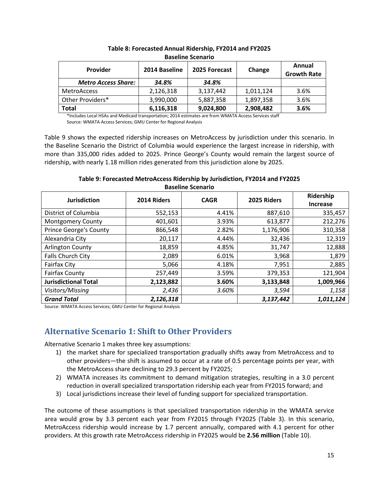| <b>Provider</b>            | 2014 Baseline | 2025 Forecast | Change    | Annual<br><b>Growth Rate</b> |  |  |
|----------------------------|---------------|---------------|-----------|------------------------------|--|--|
| <b>Metro Access Share:</b> | 34.8%         | 34.8%         |           |                              |  |  |
| <b>MetroAccess</b>         | 2,126,318     | 3,137,442     | 1,011,124 | 3.6%                         |  |  |
| Other Providers*           | 3,990,000     | 5,887,358     | 1,897,358 | 3.6%                         |  |  |
| <b>Total</b>               | 6,116,318     | 9,024,800     | 2,908,482 | 3.6%                         |  |  |

### **Table 8: Forecasted Annual Ridership, FY2014 and FY2025 Baseline Scenario**

\*Includes Local HSAs and Medicaid transportation; 2014 estimates are from WMATA Access Services staff Source: WMATA Access Services; GMU Center for Regional Analysis

Table 9 shows the expected ridership increases on MetroAccess by jurisdiction under this scenario. In the Baseline Scenario the District of Columbia would experience the largest increase in ridership, with more than 335,000 rides added to 2025. Prince George's County would remain the largest source of ridership, with nearly 1.18 million rides generated from this jurisdiction alone by 2025.

**Baseline Scenario Jurisdiction 2014 Riders CAGR 2025 Riders Ridership Increase** District of Columbia 552,153 4.41% 887,610 335,457 Montgomery County 401,601 3.93% 613,877 212,276 Prince George's County | 866,548 | 2.82% | 1,176,906 | 310,358 Alexandria City | 20,117 | 4.44% | 32,436 | 12,319 Arlington County 18,859 18,859 4.85% 31,747 12,888 Falls Church City 2,089 6.01% 3,968 1,879 Fairfax City 5,066 4.18% 7,951 2,885 Fairfax County 121,904 1257,449 3.59% 379,353 379,353 **Jurisdictional Total 2,123,882 3.60% 3,133,848 1,009,966**

*Visitors/Missing 2,436 3.60% 3,594 1,158 Grand Total 2,126,318 3,137,442 1,011,124*

**Table 9: Forecasted MetroAccess Ridership by Jurisdiction, FY2014 and FY2025**

Source: WMATA Access Services; GMU Center for Regional Analysis

### **Alternative Scenario 1: Shift to Other Providers**

Alternative Scenario 1 makes three key assumptions:

- 1) the market share for specialized transportation gradually shifts away from MetroAccess and to other providers—the shift is assumed to occur at a rate of 0.5 percentage points per year, with the MetroAccess share declining to 29.3 percent by FY2025;
- 2) WMATA increases its commitment to demand mitigation strategies, resulting in a 3.0 percent reduction in overall specialized transportation ridership each year from FY2015 forward; and
- 3) Local jurisdictions increase their level of funding support for specialized transportation.

The outcome of these assumptions is that specialized transportation ridership in the WMATA service area would grow by 3.3 percent each year from FY2015 through FY2025 (Table 3). In this scenario, MetroAccess ridership would increase by 1.7 percent annually, compared with 4.1 percent for other providers. At this growth rate MetroAccess ridership in FY2025 would be **2.56 million** (Table 10).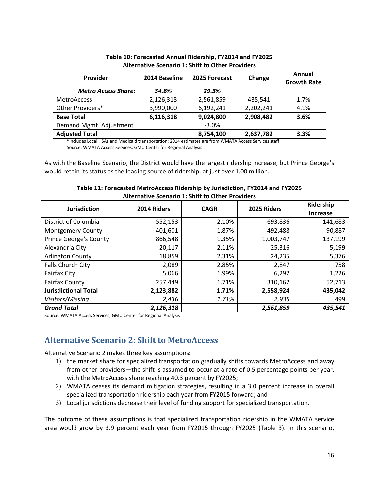| Provider                   | 2014 Baseline | 2025 Forecast | Change    | Annual<br><b>Growth Rate</b> |
|----------------------------|---------------|---------------|-----------|------------------------------|
| <b>Metro Access Share:</b> | 34.8%         | 29.3%         |           |                              |
| <b>MetroAccess</b>         | 2,126,318     | 2,561,859     | 435,541   | 1.7%                         |
| Other Providers*           | 3,990,000     | 6,192,241     | 2,202,241 | 4.1%                         |
| <b>Base Total</b>          | 6,116,318     | 9,024,800     | 2,908,482 | 3.6%                         |
| Demand Mgmt. Adjustment    |               | $-3.0%$       |           |                              |
| <b>Adjusted Total</b>      |               | 8,754,100     | 2,637,782 | 3.3%                         |

**Table 10: Forecasted Annual Ridership, FY2014 and FY2025 Alternative Scenario 1: Shift to Other Providers**

\*Includes Local HSAs and Medicaid transportation; 2014 estimates are from WMATA Access Services staff Source: WMATA Access Services; GMU Center for Regional Analysis

As with the Baseline Scenario, the District would have the largest ridership increase, but Prince George's would retain its status as the leading source of ridership, at just over 1.00 million.

| Table 11: Forecasted MetroAccess Ridership by Jurisdiction, FY2014 and FY2025 |  |
|-------------------------------------------------------------------------------|--|
| <b>Alternative Scenario 1: Shift to Other Providers</b>                       |  |

| <b>Jurisdiction</b>           | 2014 Riders | <b>CAGR</b> | 2025 Riders | Ridership<br><b>Increase</b> |  |
|-------------------------------|-------------|-------------|-------------|------------------------------|--|
| District of Columbia          | 552,153     | 2.10%       | 693,836     | 141,683                      |  |
| <b>Montgomery County</b>      | 401,601     | 1.87%       | 492,488     | 90,887                       |  |
| <b>Prince George's County</b> | 866,548     | 1.35%       | 1,003,747   | 137,199                      |  |
| Alexandria City               | 20,117      | 2.11%       | 25,316      | 5,199                        |  |
| Arlington County              | 18,859      | 2.31%       | 24,235      | 5,376                        |  |
| Falls Church City             | 2,089       | 2.85%       | 2,847       | 758                          |  |
| <b>Fairfax City</b>           | 5,066       | 1.99%       | 6,292       | 1,226                        |  |
| <b>Fairfax County</b>         | 257,449     | 1.71%       | 310,162     | 52,713                       |  |
| <b>Jurisdictional Total</b>   | 2,123,882   | 1.71%       | 2,558,924   | 435,042                      |  |
| Visitors/Missing              | 2,436       | 1.71%       | 2,935       | 499                          |  |
| <b>Grand Total</b>            | 2,126,318   |             | 2,561,859   | 435,541                      |  |

Source: WMATA Access Services; GMU Center for Regional Analysis

### **Alternative Scenario 2: Shift to MetroAccess**

Alternative Scenario 2 makes three key assumptions:

- 1) the market share for specialized transportation gradually shifts towards MetroAccess and away from other providers—the shift is assumed to occur at a rate of 0.5 percentage points per year, with the MetroAccess share reaching 40.3 percent by FY2025;
- 2) WMATA ceases its demand mitigation strategies, resulting in a 3.0 percent increase in overall specialized transportation ridership each year from FY2015 forward; and
- 3) Local jurisdictions decrease their level of funding support for specialized transportation.

The outcome of these assumptions is that specialized transportation ridership in the WMATA service area would grow by 3.9 percent each year from FY2015 through FY2025 (Table 3). In this scenario,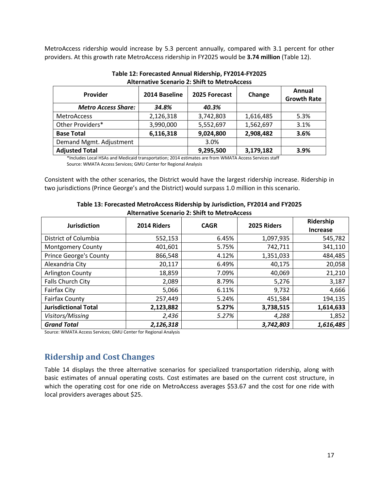MetroAccess ridership would increase by 5.3 percent annually, compared with 3.1 percent for other providers. At this growth rate MetroAccess ridership in FY2025 would be **3.74 million** (Table 12).

| Provider                   | 2014 Baseline | 2025 Forecast | Change    | Annual<br><b>Growth Rate</b> |
|----------------------------|---------------|---------------|-----------|------------------------------|
| <b>Metro Access Share:</b> | 34.8%         | 40.3%         |           |                              |
| <b>MetroAccess</b>         | 2,126,318     | 3,742,803     | 1,616,485 | 5.3%                         |
| Other Providers*           | 3,990,000     | 5,552,697     | 1,562,697 | 3.1%                         |
| <b>Base Total</b>          | 6,116,318     | 9,024,800     | 2,908,482 | 3.6%                         |
| Demand Mgmt. Adjustment    |               | 3.0%          |           |                              |
| <b>Adjusted Total</b>      |               | 9,295,500     | 3,179,182 | 3.9%                         |

**Table 12: Forecasted Annual Ridership, FY2014-FY2025 Alternative Scenario 2: Shift to MetroAccess**

\*Includes Local HSAs and Medicaid transportation; 2014 estimates are from WMATA Access Services staff Source: WMATA Access Services; GMU Center for Regional Analysis

Consistent with the other scenarios, the District would have the largest ridership increase. Ridership in two jurisdictions (Prince George's and the District) would surpass 1.0 million in this scenario.

| <b>Jurisdiction</b>           | 2014 Riders | <b>CAGR</b> | 2025 Riders | Ridership<br><b>Increase</b> |  |
|-------------------------------|-------------|-------------|-------------|------------------------------|--|
| District of Columbia          | 552,153     | 6.45%       | 1,097,935   | 545,782                      |  |
| <b>Montgomery County</b>      | 401,601     | 5.75%       | 742,711     | 341,110                      |  |
| <b>Prince George's County</b> | 866,548     | 4.12%       | 1,351,033   | 484,485                      |  |
| Alexandria City               | 20,117      | 6.49%       | 40,175      | 20,058                       |  |
| <b>Arlington County</b>       | 18,859      | 7.09%       | 40,069      | 21,210                       |  |
| Falls Church City             | 2,089       | 8.79%       | 5,276       | 3,187                        |  |
| <b>Fairfax City</b>           | 5,066       | 6.11%       | 9,732       | 4,666                        |  |
| <b>Fairfax County</b>         | 257,449     | 5.24%       | 451,584     | 194,135                      |  |
| <b>Jurisdictional Total</b>   | 2,123,882   | 5.27%       | 3,738,515   | 1,614,633                    |  |
| Visitors/Missing              | 2,436       | 5.27%       | 4,288       | 1,852                        |  |
| <b>Grand Total</b>            | 2,126,318   |             | 3,742,803   | 1,616,485                    |  |

**Table 13: Forecasted MetroAccess Ridership by Jurisdiction, FY2014 and FY2025 Alternative Scenario 2: Shift to MetroAccess**

Source: WMATA Access Services; GMU Center for Regional Analysis

## **Ridership and Cost Changes**

Table 14 displays the three alternative scenarios for specialized transportation ridership, along with basic estimates of annual operating costs. Cost estimates are based on the current cost structure, in which the operating cost for one ride on MetroAccess averages \$53.67 and the cost for one ride with local providers averages about \$25.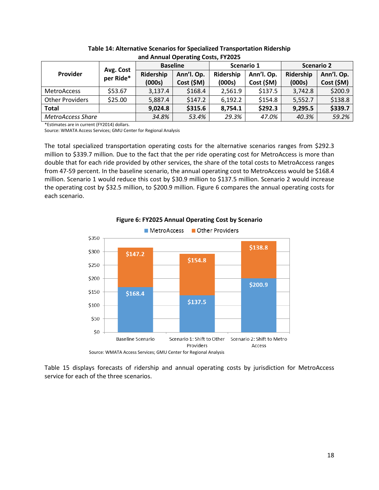| GUG / WILLOW ORCHUGHING COOLS, I LEGES |                        |           |                 |           |            |                   |            |  |
|----------------------------------------|------------------------|-----------|-----------------|-----------|------------|-------------------|------------|--|
|                                        |                        |           | <b>Baseline</b> |           | Scenario 1 | <b>Scenario 2</b> |            |  |
| Provider                               | Avg. Cost<br>per Ride* | Ridership | Ann'l. Op.      | Ridership | Ann'l. Op. | Ridership         | Ann'l. Op. |  |
|                                        |                        | (000s)    | Cost (\$M)      | (000s)    | Cost (\$M) | (000s)            | Cost (\$M) |  |
| <b>MetroAccess</b>                     | \$53.67                | 3,137.4   | \$168.4         | 2,561.9   | \$137.5    | 3,742.8           | \$200.9    |  |
| <b>Other Providers</b>                 | \$25.00                | 5,887.4   | \$147.2         | 6,192.2   | \$154.8    | 5,552.7           | \$138.8    |  |
| <b>Total</b>                           |                        | 9,024.8   | \$315.6         | 8,754.1   | \$292.3    | 9,295.5           | \$339.7    |  |
| <b>MetroAccess Share</b>               |                        | 34.8%     | 53.4%           | 29.3%     | 47.0%      | 40.3%             | 59.2%      |  |

**Table 14: Alternative Scenarios for Specialized Transportation Ridership and Annual Operating Costs, FY2025**

\*Estimates are in current (FY2014) dollars.

Source: WMATA Access Services; GMU Center for Regional Analysis

The total specialized transportation operating costs for the alternative scenarios ranges from \$292.3 million to \$339.7 million. Due to the fact that the per ride operating cost for MetroAccess is more than double that for each ride provided by other services, the share of the total costs to MetroAccess ranges from 47-59 percent. In the baseline scenario, the annual operating cost to MetroAccess would be \$168.4 million. Scenario 1 would reduce this cost by \$30.9 million to \$137.5 million. Scenario 2 would increase the operating cost by \$32.5 million, to \$200.9 million. Figure 6 compares the annual operating costs for each scenario.



**Figure 6: FY2025 Annual Operating Cost by Scenario**

Table 15 displays forecasts of ridership and annual operating costs by jurisdiction for MetroAccess service for each of the three scenarios.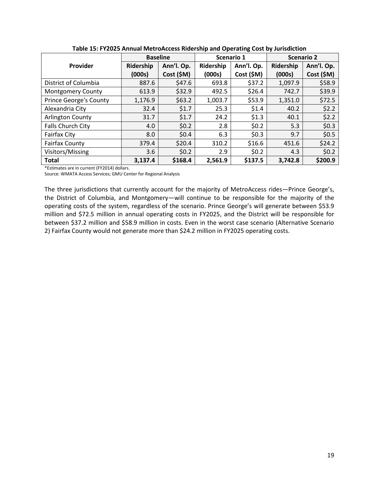|                               | <b>Baseline</b> |            | Scenario 1 |            | <b>Scenario 2</b> |            |  |
|-------------------------------|-----------------|------------|------------|------------|-------------------|------------|--|
| Provider                      | Ridership       | Ann'l. Op. | Ridership  | Ann'l. Op. | Ridership         | Ann'l. Op. |  |
|                               | (000s)          | Cost (\$M) | (000s)     | Cost (\$M) | (000s)            | Cost (\$M) |  |
| District of Columbia          | 887.6           | \$47.6     | 693.8      | \$37.2     | 1,097.9           | \$58.9     |  |
| <b>Montgomery County</b>      | 613.9           | \$32.9     | 492.5      | \$26.4     | 742.7             | \$39.9     |  |
| <b>Prince George's County</b> | 1,176.9         | \$63.2     | 1,003.7    | \$53.9     | 1,351.0           | \$72.5     |  |
| Alexandria City               | 32.4            | \$1.7      | 25.3       | \$1.4      | 40.2              | \$2.2\$    |  |
| <b>Arlington County</b>       | 31.7            | \$1.7      | 24.2       | \$1.3      | 40.1              | \$2.2      |  |
| Falls Church City             | 4.0             | \$0.2\$    | 2.8        | \$0.2\$    | 5.3               | \$0.3\$    |  |
| <b>Fairfax City</b>           | 8.0             | \$0.4      | 6.3        | \$0.3      | 9.7               | \$0.5      |  |
| <b>Fairfax County</b>         | 379.4           | \$20.4     | 310.2      | \$16.6     | 451.6             | \$24.2     |  |
| Visitors/Missing              | 3.6             | \$0.2\$    | 2.9        | \$0.2\$    | 4.3               | \$0.2\$    |  |
| <b>Total</b>                  | 3,137.4         | \$168.4    | 2,561.9    | \$137.5    | 3,742.8           | \$200.9    |  |

**Table 15: FY2025 Annual MetroAccess Ridership and Operating Cost by Jurisdiction**

\*Estimates are in current (FY2014) dollars.

Source: WMATA Access Services; GMU Center for Regional Analysis

The three jurisdictions that currently account for the majority of MetroAccess rides—Prince George's, the District of Columbia, and Montgomery—will continue to be responsible for the majority of the operating costs of the system, regardless of the scenario. Prince George's will generate between \$53.9 million and \$72.5 million in annual operating costs in FY2025, and the District will be responsible for between \$37.2 million and \$58.9 million in costs. Even in the worst case scenario (Alternative Scenario 2) Fairfax County would not generate more than \$24.2 million in FY2025 operating costs.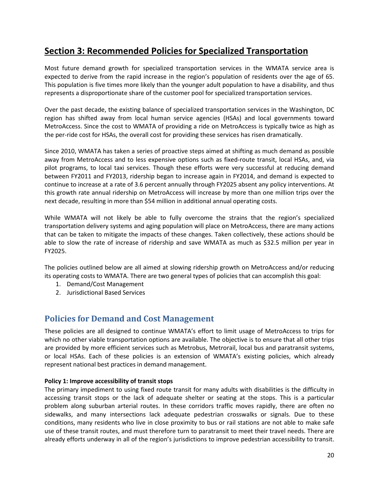# **Section 3: Recommended Policies for Specialized Transportation**

Most future demand growth for specialized transportation services in the WMATA service area is expected to derive from the rapid increase in the region's population of residents over the age of 65. This population is five times more likely than the younger adult population to have a disability, and thus represents a disproportionate share of the customer pool for specialized transportation services.

Over the past decade, the existing balance of specialized transportation services in the Washington, DC region has shifted away from local human service agencies (HSAs) and local governments toward MetroAccess. Since the cost to WMATA of providing a ride on MetroAccess is typically twice as high as the per-ride cost for HSAs, the overall cost for providing these services has risen dramatically.

Since 2010, WMATA has taken a series of proactive steps aimed at shifting as much demand as possible away from MetroAccess and to less expensive options such as fixed-route transit, local HSAs, and, via pilot programs, to local taxi services. Though these efforts were very successful at reducing demand between FY2011 and FY2013, ridership began to increase again in FY2014, and demand is expected to continue to increase at a rate of 3.6 percent annually through FY2025 absent any policy interventions. At this growth rate annual ridership on MetroAccess will increase by more than one million trips over the next decade, resulting in more than \$54 million in additional annual operating costs.

While WMATA will not likely be able to fully overcome the strains that the region's specialized transportation delivery systems and aging population will place on MetroAccess, there are many actions that can be taken to mitigate the impacts of these changes. Taken collectively, these actions should be able to slow the rate of increase of ridership and save WMATA as much as \$32.5 million per year in FY2025.

The policies outlined below are all aimed at slowing ridership growth on MetroAccess and/or reducing its operating costs to WMATA. There are two general types of policies that can accomplish this goal:

- 1. Demand/Cost Management
- 2. Jurisdictional Based Services

### **Policies for Demand and Cost Management**

These policies are all designed to continue WMATA's effort to limit usage of MetroAccess to trips for which no other viable transportation options are available. The objective is to ensure that all other trips are provided by more efficient services such as Metrobus, Metrorail, local bus and paratransit systems, or local HSAs. Each of these policies is an extension of WMATA's existing policies, which already represent national best practices in demand management.

### **Policy 1: Improve accessibility of transit stops**

The primary impediment to using fixed route transit for many adults with disabilities is the difficulty in accessing transit stops or the lack of adequate shelter or seating at the stops. This is a particular problem along suburban arterial routes. In these corridors traffic moves rapidly, there are often no sidewalks, and many intersections lack adequate pedestrian crosswalks or signals. Due to these conditions, many residents who live in close proximity to bus or rail stations are not able to make safe use of these transit routes, and must therefore turn to paratransit to meet their travel needs. There are already efforts underway in all of the region's jurisdictions to improve pedestrian accessibility to transit.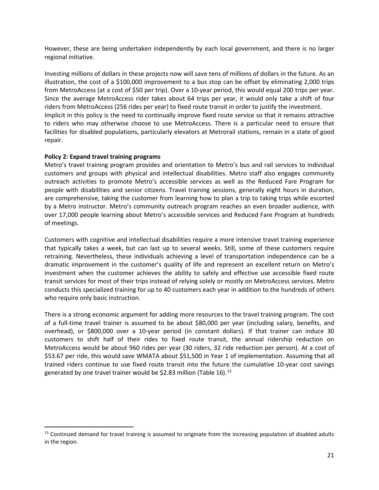However, these are being undertaken independently by each local government, and there is no larger regional initiative.

Investing millions of dollars in these projects now will save tens of millions of dollars in the future. As an illustration, the cost of a \$100,000 improvement to a bus stop can be offset by eliminating 2,000 trips from MetroAccess (at a cost of \$50 per trip). Over a 10-year period, this would equal 200 trips per year. Since the average MetroAccess rider takes about 64 trips per year, it would only take a shift of four riders from MetroAccess (256 rides per year) to fixed route transit in order to justify the investment. Implicit in this policy is the need to continually improve fixed route service so that it remains attractive to riders who may otherwise choose to use MetroAccess. There is a particular need to ensure that facilities for disabled populations, particularly elevators at Metrorail stations, remain in a state of good repair.

### **Policy 2: Expand travel training programs**

 $\overline{\phantom{a}}$ 

Metro's travel training program provides and orientation to Metro's bus and rail services to individual customers and groups with physical and intellectual disabilities. Metro staff also engages community outreach activities to promote Metro's accessible services as well as the Reduced Fare Program for people with disabilities and senior citizens. Travel training sessions, generally eight hours in duration, are comprehensive, taking the customer from learning how to plan a trip to taking trips while escorted by a Metro instructor. Metro's community outreach program reaches an even broader audience, with over 17,000 people learning about Metro's accessible services and Reduced Fare Program at hundreds of meetings.

Customers with cognitive and intellectual disabilities require a more intensive travel training experience that typically takes a week, but can last up to several weeks. Still, some of these customers require retraining. Nevertheless, these individuals achieving a level of transportation independence can be a dramatic improvement in the customer's quality of life and represent an excellent return on Metro's investment when the customer achieves the ability to safely and effective use accessible fixed route transit services for most of their trips instead of relying solely or mostly on MetroAccess services. Metro conducts this specialized training for up to 40 customers each year in addition to the hundreds of others who require only basic instruction.

There is a strong economic argument for adding more resources to the travel training program. The cost of a full-time travel trainer is assumed to be about \$80,000 per year (including salary, benefits, and overhead), or \$800,000 over a 10-year period (in constant dollars). If that trainer can induce 30 customers to shift half of their rides to fixed route transit, the annual ridership reduction on MetroAccess would be about 960 rides per year (30 riders, 32 ride reduction per person). At a cost of \$53.67 per ride, this would save WMATA about \$51,500 in Year 1 of implementation. Assuming that all trained riders continue to use fixed route transit into the future the cumulative 10-year cost savings generated by one travel trainer would be \$2.83 million (Table 16).<sup>[13](#page-23-0)</sup>

<span id="page-23-0"></span> $13$  Continued demand for travel training is assumed to originate from the increasing population of disabled adults in the region.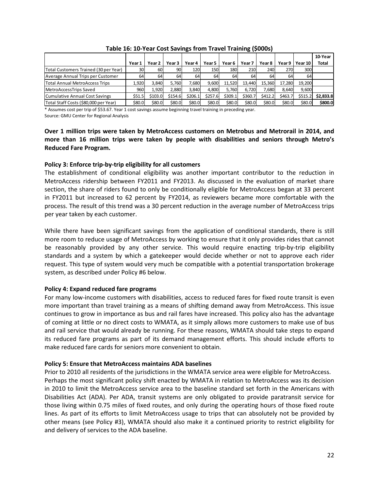|                                       |        |         |         |         |         |         |         |         |         |         | 10-Year      |
|---------------------------------------|--------|---------|---------|---------|---------|---------|---------|---------|---------|---------|--------------|
|                                       | Year 1 | Year 2  | Year 3  | Year 4  | Year 5  | Year 6  | Year 7  | Year 8  | Year 9  | Year 10 | <b>Total</b> |
| Total Customers Trained (30 per Year) | 30I    | 60      | 90)     | 120     | 150     | 180     | 210     | 240     | 270     | 300     |              |
| Average Annual Trips per Customer     | 64     | 64      | 64      | 64      | 64      | 64      | 64      | 64      | 64      | 64      |              |
| Total Annual MetroAccess Trips        | 1.920  | 3.840   | 5.760   | 7,680   | 9.600   | 11.520  | 13.440  | 15.360  | 17.280  | 19.200  |              |
| MetroAccessTrips Saved                | 960    | 1.920   | 2.880   | 3.840   | 4.800   | 5.760   | 6.720   | 7.680   | 8,640   | 9.600   |              |
| Cumulative Annual Cost Savings        | \$51.5 | \$103.0 | \$154.6 | \$206.1 | \$257.6 | \$309.1 | \$360.7 | \$412.2 | \$463.7 | \$515.2 | \$2.833.8    |
| Total Staff Costs (\$80,000 per Year) | \$80.0 | \$80.0  | \$80.0  | \$80.0  | \$80.0  | \$80.0  | \$80.0  | \$80.0  | \$80.0  | \$80.0  | \$800.0      |

|  |  | Table 16: 10-Year Cost Savings from Travel Training (\$000s) |
|--|--|--------------------------------------------------------------|
|--|--|--------------------------------------------------------------|

\* Assumes cost per trip of \$53.67. Year 1 cost savings assume beginning travel training in preceding year.

Source: GMU Center for Regional Analysis

**Over 1 million trips were taken by MetroAccess customers on Metrobus and Metrorail in 2014, and more than 16 million trips were taken by people with disabilities and seniors through Metro's Reduced Fare Program.**

### **Policy 3: Enforce trip-by-trip eligibility for all customers**

The establishment of conditional eligibility was another important contributor to the reduction in MetroAccess ridership between FY2011 and FY2013. As discussed in the evaluation of market share section, the share of riders found to only be conditionally eligible for MetroAccess began at 33 percent in FY2011 but increased to 62 percent by FY2014, as reviewers became more comfortable with the process. The result of this trend was a 30 percent reduction in the average number of MetroAccess trips per year taken by each customer.

While there have been significant savings from the application of conditional standards, there is still more room to reduce usage of MetroAccess by working to ensure that it only provides rides that cannot be reasonably provided by any other service. This would require enacting trip-by-trip eligibility standards and a system by which a gatekeeper would decide whether or not to approve each rider request. This type of system would very much be compatible with a potential transportation brokerage system, as described under Policy #6 below.

### **Policy 4: Expand reduced fare programs**

For many low-income customers with disabilities, access to reduced fares for fixed route transit is even more important than travel training as a means of shifting demand away from MetroAccess. This issue continues to grow in importance as bus and rail fares have increased. This policy also has the advantage of coming at little or no direct costs to WMATA, as it simply allows more customers to make use of bus and rail service that would already be running. For these reasons, WMATA should take steps to expand its reduced fare programs as part of its demand management efforts. This should include efforts to make reduced fare cards for seniors more convenient to obtain.

### **Policy 5: Ensure that MetroAccess maintains ADA baselines**

Prior to 2010 all residents of the jurisdictions in the WMATA service area were eligible for MetroAccess. Perhaps the most significant policy shift enacted by WMATA in relation to MetroAccess was its decision in 2010 to limit the MetroAccess service area to the baseline standard set forth in the Americans with Disabilities Act (ADA). Per ADA, transit systems are only obligated to provide paratransit service for those living within 0.75 miles of fixed routes, and only during the operating hours of those fixed route lines. As part of its efforts to limit MetroAccess usage to trips that can absolutely not be provided by other means (see Policy #3), WMATA should also make it a continued priority to restrict eligibility for and delivery of services to the ADA baseline.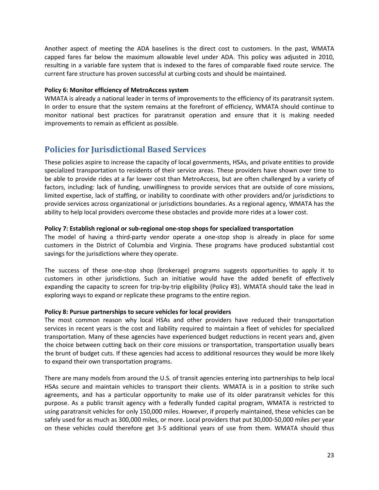Another aspect of meeting the ADA baselines is the direct cost to customers. In the past, WMATA capped fares far below the maximum allowable level under ADA. This policy was adjusted in 2010, resulting in a variable fare system that is indexed to the fares of comparable fixed route service. The current fare structure has proven successful at curbing costs and should be maintained.

#### **Policy 6: Monitor efficiency of MetroAccess system**

WMATA is already a national leader in terms of improvements to the efficiency of its paratransit system. In order to ensure that the system remains at the forefront of efficiency, WMATA should continue to monitor national best practices for paratransit operation and ensure that it is making needed improvements to remain as efficient as possible.

### **Policies for Jurisdictional Based Services**

These policies aspire to increase the capacity of local governments, HSAs, and private entities to provide specialized transportation to residents of their service areas. These providers have shown over time to be able to provide rides at a far lower cost than MetroAccess, but are often challenged by a variety of factors, including: lack of funding, unwillingness to provide services that are outside of core missions, limited expertise, lack of staffing, or inability to coordinate with other providers and/or jurisdictions to provide services across organizational or jurisdictions boundaries. As a regional agency, WMATA has the ability to help local providers overcome these obstacles and provide more rides at a lower cost.

### **Policy 7: Establish regional or sub-regional one-stop shops for specialized transportation**

The model of having a third-party vendor operate a one-stop shop is already in place for some customers in the District of Columbia and Virginia. These programs have produced substantial cost savings for the jurisdictions where they operate.

The success of these one-stop shop (brokerage) programs suggests opportunities to apply it to customers in other jurisdictions. Such an initiative would have the added benefit of effectively expanding the capacity to screen for trip-by-trip eligibility (Policy #3). WMATA should take the lead in exploring ways to expand or replicate these programs to the entire region.

### **Policy 8: Pursue partnerships to secure vehicles for local providers**

The most common reason why local HSAs and other providers have reduced their transportation services in recent years is the cost and liability required to maintain a fleet of vehicles for specialized transportation. Many of these agencies have experienced budget reductions in recent years and, given the choice between cutting back on their core missions or transportation, transportation usually bears the brunt of budget cuts. If these agencies had access to additional resources they would be more likely to expand their own transportation programs.

There are many models from around the U.S. of transit agencies entering into partnerships to help local HSAs secure and maintain vehicles to transport their clients. WMATA is in a position to strike such agreements, and has a particular opportunity to make use of its older paratransit vehicles for this purpose. As a public transit agency with a federally funded capital program, WMATA is restricted to using paratransit vehicles for only 150,000 miles. However, if properly maintained, these vehicles can be safely used for as much as 300,000 miles, or more. Local providers that put 30,000-50,000 miles per year on these vehicles could therefore get 3-5 additional years of use from them. WMATA should thus